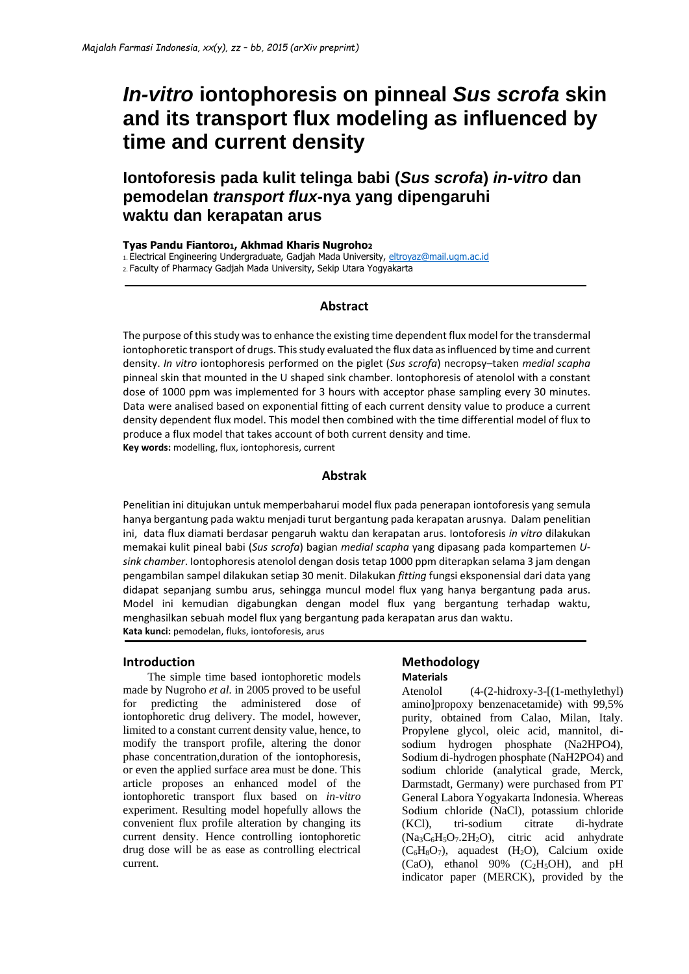# *In-vitro* **iontophoresis on pinneal** *Sus scrofa* **skin and its transport flux modeling as influenced by time and current density**

**Iontoforesis pada kulit telinga babi (***Sus scrofa***)** *in-vitro* **dan pemodelan** *transport flux***-nya yang dipengaruhi waktu dan kerapatan arus**

**Tyas Pandu Fiantoro1, Akhmad Kharis Nugroho<sup>2</sup>**

1. Electrical Engineering Undergraduate, Gadjah Mada University, [eltroyaz@mail.ugm.ac.id](mailto:eltroyaz@mail.ugm.ac.id)

2. Faculty of Pharmacy Gadjah Mada University, Sekip Utara Yogyakarta

# **Abstract**

The purpose of this study was to enhance the existing time dependent flux model for the transdermal iontophoretic transport of drugs. This study evaluated the flux data as influenced by time and current density. *In vitro* iontophoresis performed on the piglet (*Sus scrofa*) necropsy–taken *medial scapha* pinneal skin that mounted in the U shaped sink chamber. Iontophoresis of atenolol with a constant dose of 1000 ppm was implemented for 3 hours with acceptor phase sampling every 30 minutes. Data were analised based on exponential fitting of each current density value to produce a current density dependent flux model. This model then combined with the time differential model of flux to produce a flux model that takes account of both current density and time. **Key words:** modelling, flux, iontophoresis, current

# **Abstrak**

Penelitian ini ditujukan untuk memperbaharui model flux pada penerapan iontoforesis yang semula hanya bergantung pada waktu menjadi turut bergantung pada kerapatan arusnya. Dalam penelitian ini, data flux diamati berdasar pengaruh waktu dan kerapatan arus. Iontoforesis *in vitro* dilakukan memakai kulit pineal babi (*Sus scrofa*) bagian *medial scapha* yang dipasang pada kompartemen *Usink chamber*. Iontophoresis atenolol dengan dosis tetap 1000 ppm diterapkan selama 3 jam dengan pengambilan sampel dilakukan setiap 30 menit. Dilakukan *fitting* fungsi eksponensial dari data yang didapat sepanjang sumbu arus, sehingga muncul model flux yang hanya bergantung pada arus. Model ini kemudian digabungkan dengan model flux yang bergantung terhadap waktu, menghasilkan sebuah model flux yang bergantung pada kerapatan arus dan waktu. **Kata kunci:** pemodelan, fluks, iontoforesis, arus

## **Introduction**

The simple time based iontophoretic models made by Nugroho *et al.* in 2005 proved to be useful for predicting the administered dose of iontophoretic drug delivery. The model, however, limited to a constant current density value, hence, to modify the transport profile, altering the donor phase concentration,duration of the iontophoresis, or even the applied surface area must be done. This article proposes an enhanced model of the iontophoretic transport flux based on *in-vitro*  experiment. Resulting model hopefully allows the convenient flux profile alteration by changing its current density. Hence controlling iontophoretic drug dose will be as ease as controlling electrical current.

### **Methodology Materials**

Atenolol (4-(2-hidroxy-3-[(1-methylethyl) amino]propoxy benzenacetamide) with 99,5% purity, obtained from Calao, Milan, Italy. Propylene glycol, oleic acid, mannitol, disodium hydrogen phosphate (Na2HPO4), Sodium di-hydrogen phosphate (NaH2PO4) and sodium chloride (analytical grade, Merck, Darmstadt, Germany) were purchased from PT General Labora Yogyakarta Indonesia. Whereas Sodium chloride (NaCl), potassium chloride (KCl), tri-sodium citrate di-hydrate (Na3C6H5O7.2H2O), citric acid anhydrate  $(C_6H_8O_7)$ , aquadest  $(H_2O)$ , Calcium oxide (CaO), ethanol 90% (C<sub>2</sub>H<sub>5</sub>OH), and pH indicator paper (MERCK), provided by the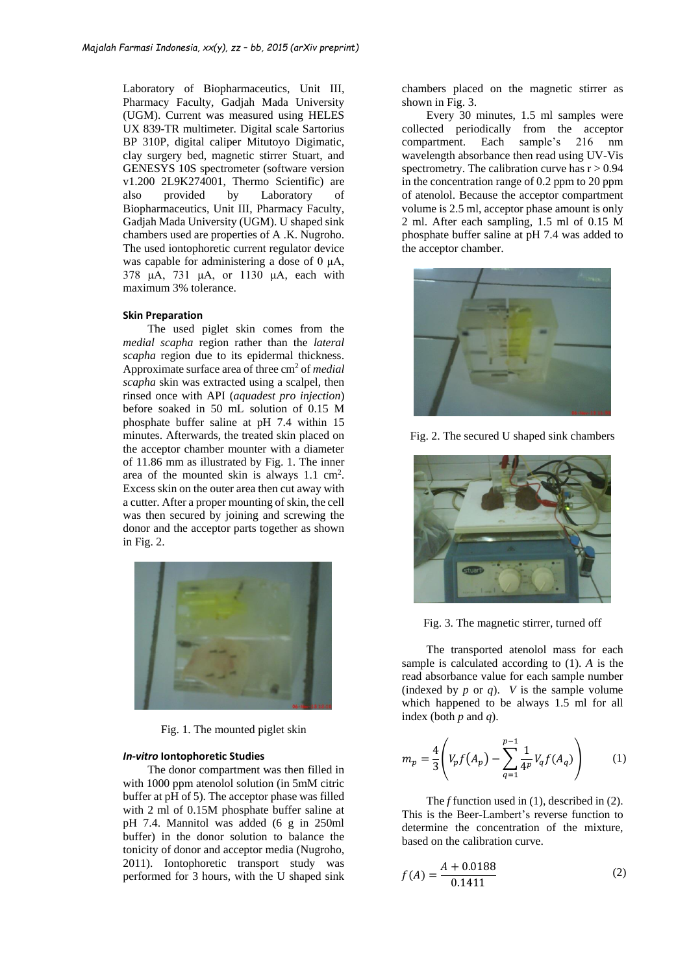Laboratory of Biopharmaceutics, Unit III, Pharmacy Faculty, Gadjah Mada University (UGM). Current was measured using HELES UX 839-TR multimeter. Digital scale Sartorius BP 310P, digital caliper Mitutoyo Digimatic, clay surgery bed, magnetic stirrer Stuart, and GENESYS 10S spectrometer (software version v1.200 2L9K274001, Thermo Scientific) are also provided by Laboratory of Biopharmaceutics, Unit III, Pharmacy Faculty, Gadjah Mada University (UGM). U shaped sink chambers used are properties of A .K. Nugroho. The used iontophoretic current regulator device was capable for administering a dose of 0 μA, 378 μA, 731 μA, or 1130 μA, each with maximum 3% tolerance.

#### **Skin Preparation**

The used piglet skin comes from the *medial scapha* region rather than the *lateral scapha* region due to its epidermal thickness. Approximate surface area of three cm<sup>2</sup> of *medial scapha* skin was extracted using a scalpel, then rinsed once with API (*aquadest pro injection*) before soaked in 50 mL solution of 0.15 M phosphate buffer saline at pH 7.4 within 15 minutes. Afterwards, the treated skin placed on the acceptor chamber mounter with a diameter of 11.86 mm as illustrated by Fig. 1. The inner area of the mounted skin is always 1.1 cm<sup>2</sup>. Excess skin on the outer area then cut away with a cutter. After a proper mounting of skin, the cell was then secured by joining and screwing the donor and the acceptor parts together as shown in Fig. 2.



Fig. 1. The mounted piglet skin

#### *In-vitro* **Iontophoretic Studies**

The donor compartment was then filled in with 1000 ppm atenolol solution (in 5mM citric buffer at pH of 5). The acceptor phase was filled with 2 ml of 0.15M phosphate buffer saline at pH 7.4. Mannitol was added (6 g in 250ml buffer) in the donor solution to balance the tonicity of donor and acceptor media (Nugroho, 2011). Iontophoretic transport study was performed for 3 hours, with the U shaped sink

chambers placed on the magnetic stirrer as shown in Fig. 3.

Every 30 minutes, 1.5 ml samples were collected periodically from the acceptor compartment. Each sample's 216 nm wavelength absorbance then read using UV-Vis spectrometry. The calibration curve has  $r > 0.94$ in the concentration range of 0.2 ppm to 20 ppm of atenolol. Because the acceptor compartment volume is 2.5 ml, acceptor phase amount is only 2 ml. After each sampling, 1.5 ml of 0.15 M phosphate buffer saline at pH 7.4 was added to the acceptor chamber.



Fig. 2. The secured U shaped sink chambers



Fig. 3. The magnetic stirrer, turned off

The transported atenolol mass for each sample is calculated according to (1). *A* is the read absorbance value for each sample number (indexed by  $p$  or  $q$ ).  $V$  is the sample volume which happened to be always 1.5 ml for all index (both *p* and *q*).

$$
m_p = \frac{4}{3} \left( V_p f(A_p) - \sum_{q=1}^{p-1} \frac{1}{4^p} V_q f(A_q) \right) \tag{1}
$$

The *f* function used in (1), described in (2). This is the Beer-Lambert's reverse function to determine the concentration of the mixture, based on the calibration curve.

$$
f(A) = \frac{A + 0.0188}{0.1411}
$$
 (2)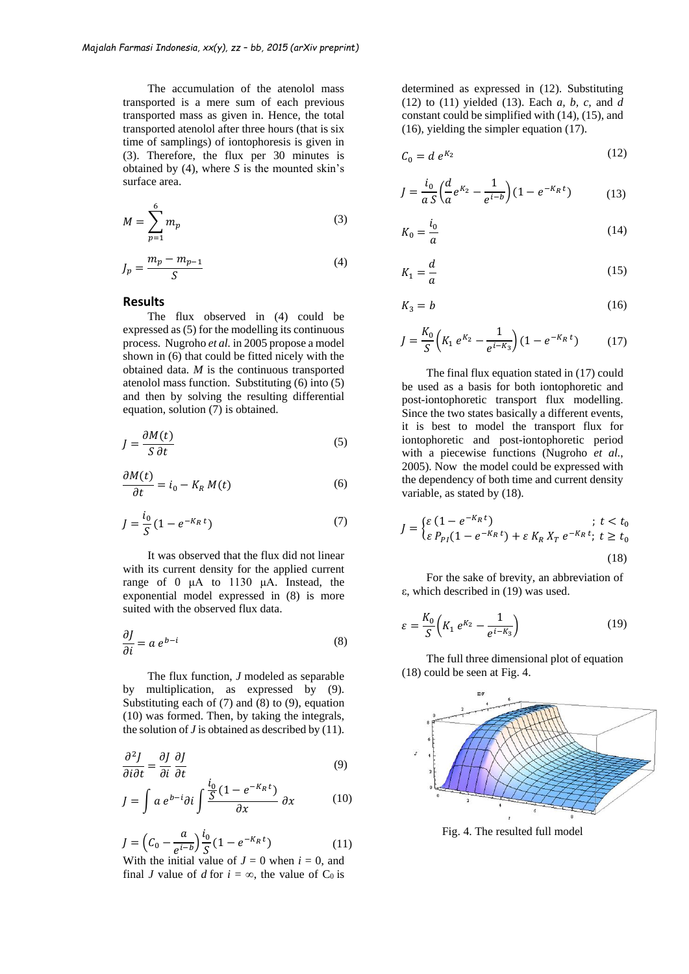The accumulation of the atenolol mass transported is a mere sum of each previous transported mass as given in. Hence, the total transported atenolol after three hours (that is six time of samplings) of iontophoresis is given in (3). Therefore, the flux per 30 minutes is obtained by (4), where *S* is the mounted skin's surface area.

$$
M = \sum_{p=1}^{6} m_p \tag{3}
$$

$$
J_p = \frac{m_p - m_{p-1}}{S} \tag{4}
$$

#### **Results**

The flux observed in (4) could be expressed as (5) for the modelling its continuous process. Nugroho *et al.* in 2005 propose a model shown in (6) that could be fitted nicely with the obtained data. *M* is the continuous transported atenolol mass function. Substituting (6) into (5) and then by solving the resulting differential equation, solution (7) is obtained.

$$
J = \frac{\partial M(t)}{S \partial t} \tag{5}
$$

$$
\frac{\partial M(t)}{\partial t} = i_0 - K_R M(t) \tag{6}
$$

$$
J = \frac{i_0}{S} (1 - e^{-K_R t})
$$
 (7)

It was observed that the flux did not linear with its current density for the applied current range of 0 μA to 1130 μA. Instead, the exponential model expressed in (8) is more suited with the observed flux data.

$$
\frac{\partial J}{\partial i} = a \, e^{b - i} \tag{8}
$$

The flux function, *J* modeled as separable by multiplication, as expressed by (9). Substituting each of  $(7)$  and  $(8)$  to  $(9)$ , equation (10) was formed. Then, by taking the integrals, the solution of  $J$  is obtained as described by  $(11)$ .

$$
\frac{\partial^2 J}{\partial i \partial t} = \frac{\partial J}{\partial i} \frac{\partial J}{\partial t}
$$
(9)

$$
J = \int a e^{b-i} \partial i \int \frac{\frac{i_0}{S} (1 - e^{-K_R t})}{\partial x} \partial x \qquad (10)
$$

$$
J = \left(C_0 - \frac{a}{e^{i-b}}\right) \frac{i_0}{S} (1 - e^{-K_R t})
$$
(11)

With the initial value of  $J = 0$  when  $i = 0$ , and final *J* value of *d* for  $i = \infty$ , the value of C<sub>0</sub> is

determined as expressed in (12). Substituting (12) to (11) yielded (13). Each *a, b, c,* and *d*  constant could be simplified with (14), (15), and (16), yielding the simpler equation (17).

$$
C_0 = d e^{K_2} \tag{12}
$$

$$
J = \frac{i_0}{a} \left( \frac{d}{a} e^{K_2} - \frac{1}{e^{i-b}} \right) (1 - e^{-K_R t}) \tag{13}
$$

$$
K_0 = \frac{i_0}{a} \tag{14}
$$

$$
K_1 = \frac{d}{a} \tag{15}
$$

$$
K_3 = b \tag{16}
$$

$$
J = \frac{K_0}{S} \left( K_1 e^{K_2} - \frac{1}{e^{i-K_3}} \right) (1 - e^{-K_R t}) \tag{17}
$$

The final flux equation stated in (17) could be used as a basis for both iontophoretic and post-iontophoretic transport flux modelling. Since the two states basically a different events, it is best to model the transport flux for iontophoretic and post-iontophoretic period with a piecewise functions (Nugroho *et al.*, 2005). Now the model could be expressed with the dependency of both time and current density variable, as stated by (18).

$$
J = \begin{cases} \varepsilon (1 - e^{-K_R t}) & ; t < t_0 \\ \varepsilon P_{PI} (1 - e^{-K_R t}) + \varepsilon K_R X_T e^{-K_R t}; t \ge t_0 \end{cases}
$$
(18)

For the sake of brevity, an abbreviation of ε, which described in (19) was used.

$$
\varepsilon = \frac{K_0}{S} \left( K_1 \, e^{K_2} - \frac{1}{e^{i - K_3}} \right) \tag{19}
$$

The full three dimensional plot of equation (18) could be seen at Fig. 4.



Fig. 4. The resulted full model